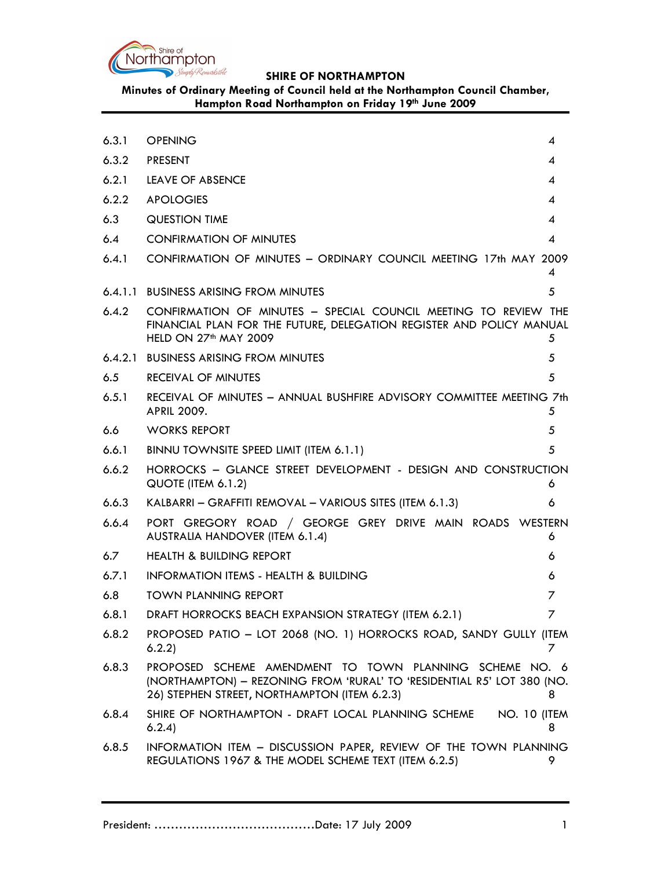

Minutes of Ordinary Meeting of Council held at the Northampton Council Chamber, Hampton Road Northampton on Friday 19th June 2009

| 6.3.1 | <b>OPENING</b>                                                                                                                                                                    | 4              |
|-------|-----------------------------------------------------------------------------------------------------------------------------------------------------------------------------------|----------------|
| 6.3.2 | <b>PRESENT</b>                                                                                                                                                                    | 4              |
| 6.2.1 | LEAVE OF ABSENCE                                                                                                                                                                  | 4              |
| 6.2.2 | <b>APOLOGIES</b>                                                                                                                                                                  | 4              |
| 6.3   | <b>QUESTION TIME</b>                                                                                                                                                              | 4              |
| 6.4   | <b>CONFIRMATION OF MINUTES</b>                                                                                                                                                    | $\overline{4}$ |
| 6.4.1 | CONFIRMATION OF MINUTES - ORDINARY COUNCIL MEETING 17th MAY 2009                                                                                                                  |                |
|       |                                                                                                                                                                                   | 4              |
|       | 6.4.1.1 BUSINESS ARISING FROM MINUTES                                                                                                                                             | 5              |
| 6.4.2 | CONFIRMATION OF MINUTES - SPECIAL COUNCIL MEETING TO REVIEW THE<br>FINANCIAL PLAN FOR THE FUTURE, DELEGATION REGISTER AND POLICY MANUAL<br>HELD ON 27 <sup>th</sup> MAY 2009      | 5              |
|       | 6.4.2.1 BUSINESS ARISING FROM MINUTES                                                                                                                                             | 5              |
| 6.5   | RECEIVAL OF MINUTES                                                                                                                                                               | 5              |
| 6.5.1 | RECEIVAL OF MINUTES - ANNUAL BUSHFIRE ADVISORY COMMITTEE MEETING 7th<br><b>APRIL 2009.</b>                                                                                        | 5              |
| 6.6   | <b>WORKS REPORT</b>                                                                                                                                                               | 5              |
| 6.6.1 | BINNU TOWNSITE SPEED LIMIT (ITEM 6.1.1)                                                                                                                                           | 5              |
| 6.6.2 | HORROCKS - GLANCE STREET DEVELOPMENT - DESIGN AND CONSTRUCTION<br>QUOTE (ITEM 6.1.2)                                                                                              | 6              |
| 6.6.3 | KALBARRI - GRAFFITI REMOVAL - VARIOUS SITES (ITEM 6.1.3)                                                                                                                          | 6              |
| 6.6.4 | PORT GREGORY ROAD / GEORGE GREY DRIVE MAIN ROADS WESTERN<br><b>AUSTRALIA HANDOVER (ITEM 6.1.4)</b>                                                                                | 6              |
| 6.7   | <b>HEALTH &amp; BUILDING REPORT</b>                                                                                                                                               | 6              |
| 6.7.1 | <b>INFORMATION ITEMS - HEALTH &amp; BUILDING</b>                                                                                                                                  | 6              |
| 6.8   | <b>TOWN PLANNING REPORT</b>                                                                                                                                                       | 7              |
| 6.8.1 | DRAFT HORROCKS BEACH EXPANSION STRATEGY (ITEM 6.2.1)                                                                                                                              | 7              |
| 6.8.2 | PROPOSED PATIO - LOT 2068 (NO. 1) HORROCKS ROAD, SANDY GULLY (ITEM<br>6.2.2)                                                                                                      | 7              |
| 6.8.3 | PROPOSED SCHEME AMENDMENT TO TOWN PLANNING SCHEME NO. 6<br>(NORTHAMPTON) - REZONING FROM 'RURAL' TO 'RESIDENTIAL R5' LOT 380 (NO.<br>26) STEPHEN STREET, NORTHAMPTON (ITEM 6.2.3) | 8              |
| 6.8.4 | SHIRE OF NORTHAMPTON - DRAFT LOCAL PLANNING SCHEME<br><b>NO. 10 (ITEM)</b><br>6.2.4                                                                                               | 8              |
| 6.8.5 | INFORMATION ITEM - DISCUSSION PAPER, REVIEW OF THE TOWN PLANNING<br>REGULATIONS 1967 & THE MODEL SCHEME TEXT (ITEM 6.2.5)                                                         | 9              |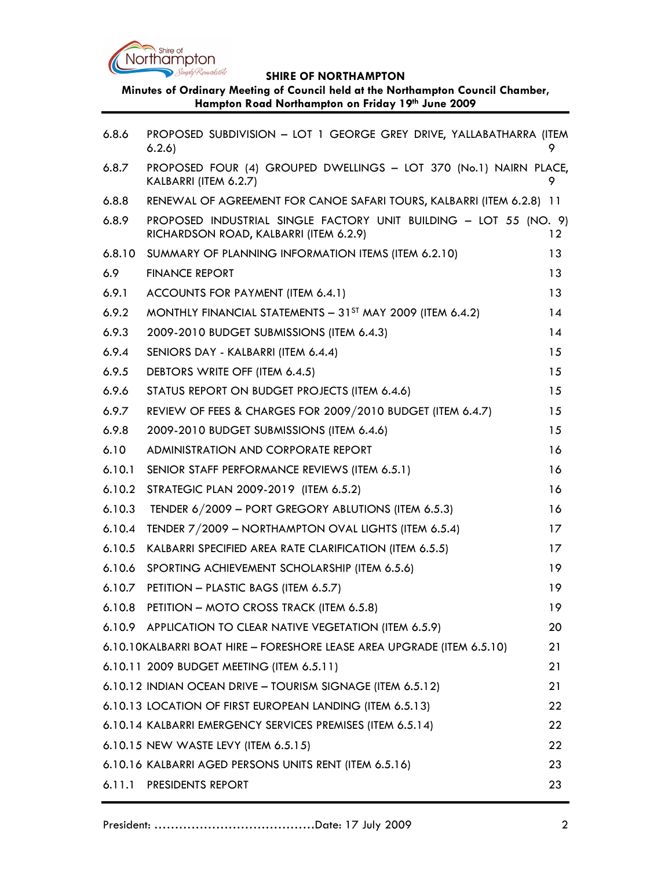

Minutes of Ordinary Meeting of Council held at the Northampton Council Chamber, Hampton Road Northampton on Friday 19th June 2009

| 6.8.6  | PROPOSED SUBDIVISION - LOT 1 GEORGE GREY DRIVE, YALLABATHARRA (ITEM<br>6.2.6                                |         |
|--------|-------------------------------------------------------------------------------------------------------------|---------|
| 6.8.7  | PROPOSED FOUR (4) GROUPED DWELLINGS - LOT 370 (No.1) NAIRN PLACE,<br>KALBARRI (ITEM 6.2.7)                  | 9       |
| 6.8.8  | RENEWAL OF AGREEMENT FOR CANOE SAFARI TOURS, KALBARRI (ITEM 6.2.8) 11                                       |         |
| 6.8.9  | PROPOSED INDUSTRIAL SINGLE FACTORY UNIT BUILDING - LOT 55 (NO. 9)<br>RICHARDSON ROAD, KALBARRI (ITEM 6.2.9) | $12 \,$ |
| 6.8.10 | SUMMARY OF PLANNING INFORMATION ITEMS (ITEM 6.2.10)                                                         | 13      |
| 6.9    | <b>FINANCE REPORT</b>                                                                                       | 13      |
| 6.9.1  | ACCOUNTS FOR PAYMENT (ITEM 6.4.1)                                                                           | 13      |
| 6.9.2  | MONTHLY FINANCIAL STATEMENTS - 31 <sup>ST</sup> MAY 2009 (ITEM 6.4.2)                                       | 14      |
| 6.9.3  | 2009-2010 BUDGET SUBMISSIONS (ITEM 6.4.3)                                                                   | 14      |
| 6.9.4  | SENIORS DAY - KALBARRI (ITEM 6.4.4)                                                                         | 15      |
| 6.9.5  | DEBTORS WRITE OFF (ITEM 6.4.5)                                                                              | 15      |
| 6.9.6  | STATUS REPORT ON BUDGET PROJECTS (ITEM 6.4.6)                                                               | 15      |
| 6.9.7  | REVIEW OF FEES & CHARGES FOR 2009/2010 BUDGET (ITEM 6.4.7)                                                  | 15      |
| 6.9.8  | 2009-2010 BUDGET SUBMISSIONS (ITEM 6.4.6)                                                                   | 15      |
| 6.10   | ADMINISTRATION AND CORPORATE REPORT                                                                         | 16      |
| 6.10.1 | SENIOR STAFF PERFORMANCE REVIEWS (ITEM 6.5.1)                                                               | 16      |
| 6.10.2 | STRATEGIC PLAN 2009-2019 (ITEM 6.5.2)                                                                       | 16      |
| 6.10.3 | TENDER 6/2009 - PORT GREGORY ABLUTIONS (ITEM 6.5.3)                                                         | 16      |
| 6.10.4 | TENDER 7/2009 - NORTHAMPTON OVAL LIGHTS (ITEM 6.5.4)                                                        | 17      |
| 6.10.5 | KALBARRI SPECIFIED AREA RATE CLARIFICATION (ITEM 6.5.5)                                                     | 17      |
| 6.10.6 | SPORTING ACHIEVEMENT SCHOLARSHIP (ITEM 6.5.6)                                                               | 19      |
| 6.10.7 | PETITION - PLASTIC BAGS (ITEM 6.5.7)                                                                        | 19      |
| 6.10.8 | PETITION - MOTO CROSS TRACK (ITEM 6.5.8)                                                                    | 19      |
|        | 6.10.9 APPLICATION TO CLEAR NATIVE VEGETATION (ITEM 6.5.9)                                                  | 20      |
|        | 6.10.10KALBARRI BOAT HIRE - FORESHORE LEASE AREA UPGRADE (ITEM 6.5.10)                                      | 21      |
|        | 6.10.11 2009 BUDGET MEETING (ITEM 6.5.11)                                                                   | 21      |
|        | 6.10.12 INDIAN OCEAN DRIVE - TOURISM SIGNAGE (ITEM 6.5.12)                                                  | 21      |
|        | 6.10.13 LOCATION OF FIRST EUROPEAN LANDING (ITEM 6.5.13)                                                    | 22      |
|        | 6.10.14 KALBARRI EMERGENCY SERVICES PREMISES (ITEM 6.5.14)                                                  | 22      |
|        | 6.10.15 NEW WASTE LEVY (ITEM 6.5.15)                                                                        | 22      |
|        | 6.10.16 KALBARRI AGED PERSONS UNITS RENT (ITEM 6.5.16)                                                      | 23      |
|        | 6.11.1 PRESIDENTS REPORT                                                                                    | 23      |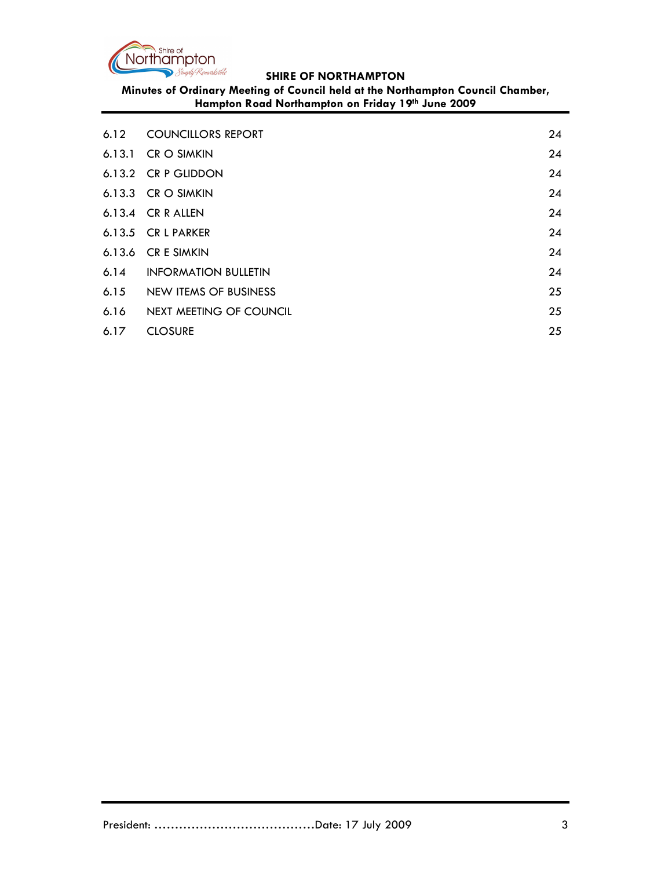

Minutes of Ordinary Meeting of Council held at the Northampton Council Chamber, Hampton Road Northampton on Friday 19th June 2009

|      | 6.12 COUNCILLORS REPORT   | 24 |
|------|---------------------------|----|
|      | 6.13.1 CR O SIMKIN        | 24 |
|      | 6.13.2 CR P GLIDDON       | 24 |
|      | 6.13.3 $CR$ O SIMKIN      | 24 |
|      | 6.13.4 $CR$ R ALLEN       | 24 |
|      | 6.13.5 CR L PARKER        | 24 |
|      | 6.13.6 CR E SIMKIN        | 24 |
|      | 6.14 INFORMATION BULLETIN | 24 |
| 6.15 | NEW ITEMS OF BUSINESS     | 25 |
| 6.16 | NEXT MEETING OF COUNCIL   | 25 |
| 6.17 | <b>CLOSURE</b>            | 25 |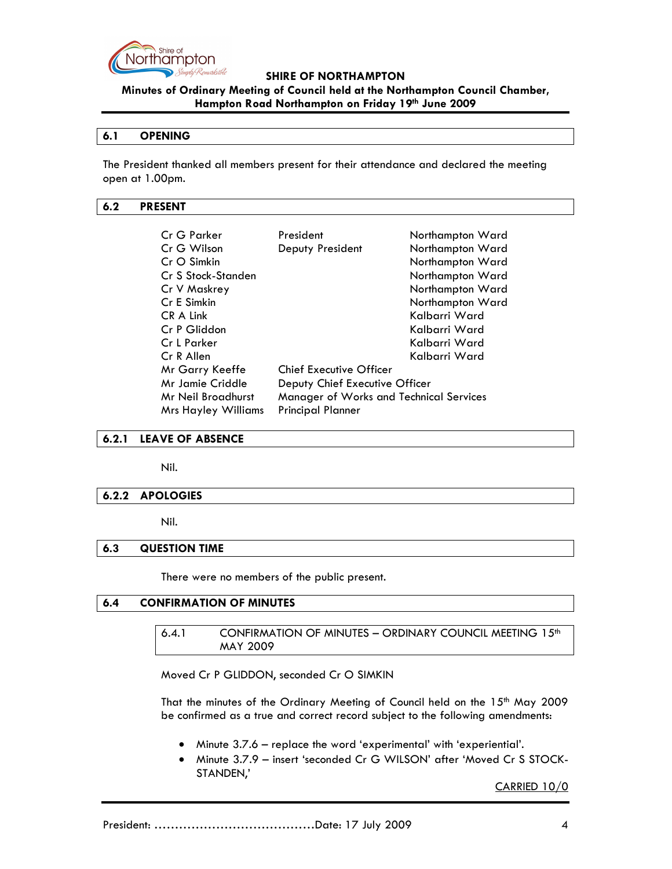

## Minutes of Ordinary Meeting of Council held at the Northampton Council Chamber, Hampton Road Northampton on Friday 19th June 2009

#### 6.1 OPENING

The President thanked all members present for their attendance and declared the meeting open at 1.00pm.

#### 6.2 PRESENT

| Cr G Parker                | President                               | Northampton Ward |  |
|----------------------------|-----------------------------------------|------------------|--|
| Cr G Wilson                | Deputy President                        | Northampton Ward |  |
| $CrO$ Simkin               |                                         | Northampton Ward |  |
| Cr S Stock-Standen         |                                         | Northampton Ward |  |
| Cr V Maskrey               |                                         | Northampton Ward |  |
| Cr E Simkin                |                                         | Northampton Ward |  |
| CR A Link                  |                                         | Kalbarri Ward    |  |
| Cr P Gliddon               |                                         | Kalbarri Ward    |  |
| Cr L Parker                |                                         | Kalbarri Ward    |  |
| Cr R Allen                 |                                         | Kalbarri Ward    |  |
| Mr Garry Keeffe            | <b>Chief Executive Officer</b>          |                  |  |
| Mr Jamie Criddle           | Deputy Chief Executive Officer          |                  |  |
| Mr Neil Broadhurst         | Manager of Works and Technical Services |                  |  |
| <b>Mrs Hayley Williams</b> | <b>Principal Planner</b>                |                  |  |

#### 6.2.1 LEAVE OF ABSENCE

Nil.

### 6.2.2 APOLOGIES

Nil.

### 6.3 QUESTION TIME

There were no members of the public present.

### 6.4 CONFIRMATION OF MINUTES

6.4.1 CONFIRMATION OF MINUTES - ORDINARY COUNCIL MEETING  $15<sup>th</sup>$ MAY 2009

Moved Cr P GLIDDON, seconded Cr O SIMKIN

That the minutes of the Ordinary Meeting of Council held on the 15<sup>th</sup> May 2009 be confirmed as a true and correct record subject to the following amendments:

- Minute 3.7.6 replace the word 'experimental' with 'experiential'.
- Minute 3.7.9 insert 'seconded Cr G WILSON' after 'Moved Cr S STOCK-STANDEN,'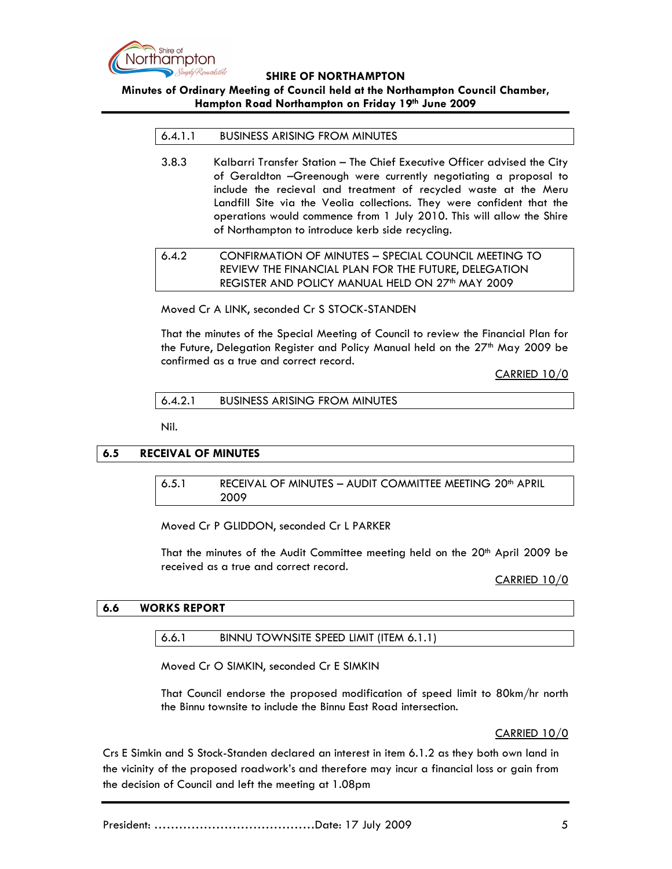

## Minutes of Ordinary Meeting of Council held at the Northampton Council Chamber, Hampton Road Northampton on Friday 19th June 2009

#### 6.4.1.1 BUSINESS ARISING FROM MINUTES

3.8.3 Kalbarri Transfer Station – The Chief Executive Officer advised the City of Geraldton –Greenough were currently negotiating a proposal to include the recieval and treatment of recycled waste at the Meru Landfill Site via the Veolia collections. They were confident that the operations would commence from 1 July 2010. This will allow the Shire of Northampton to introduce kerb side recycling.

# 6.4.2 CONFIRMATION OF MINUTES – SPECIAL COUNCIL MEETING TO REVIEW THE FINANCIAL PLAN FOR THE FUTURE, DELEGATION REGISTER AND POLICY MANUAL HELD ON 27<sup>th</sup> MAY 2009

Moved Cr A LINK, seconded Cr S STOCK-STANDEN

That the minutes of the Special Meeting of Council to review the Financial Plan for the Future, Delegation Register and Policy Manual held on the 27<sup>th</sup> May 2009 be confirmed as a true and correct record.

CARRIED 10/0

6.4.2.1 BUSINESS ARISING FROM MINUTES

Nil.

### 6.5 RECEIVAL OF MINUTES

6.5.1 RECEIVAL OF MINUTES - AUDIT COMMITTEE MEETING 20<sup>th</sup> APRIL 2009

Moved Cr P GLIDDON, seconded Cr L PARKER

That the minutes of the Audit Committee meeting held on the 20<sup>th</sup> April 2009 be received as a true and correct record.

CARRIED 10/0

### 6.6 WORKS REPORT

#### 6.6.1 BINNU TOWNSITE SPEED LIMIT (ITEM 6.1.1)

Moved Cr O SIMKIN, seconded Cr E SIMKIN

That Council endorse the proposed modification of speed limit to 80km/hr north the Binnu townsite to include the Binnu East Road intersection.

CARRIED 10/0

Crs E Simkin and S Stock-Standen declared an interest in item 6.1.2 as they both own land in the vicinity of the proposed roadwork's and therefore may incur a financial loss or gain from the decision of Council and left the meeting at 1.08pm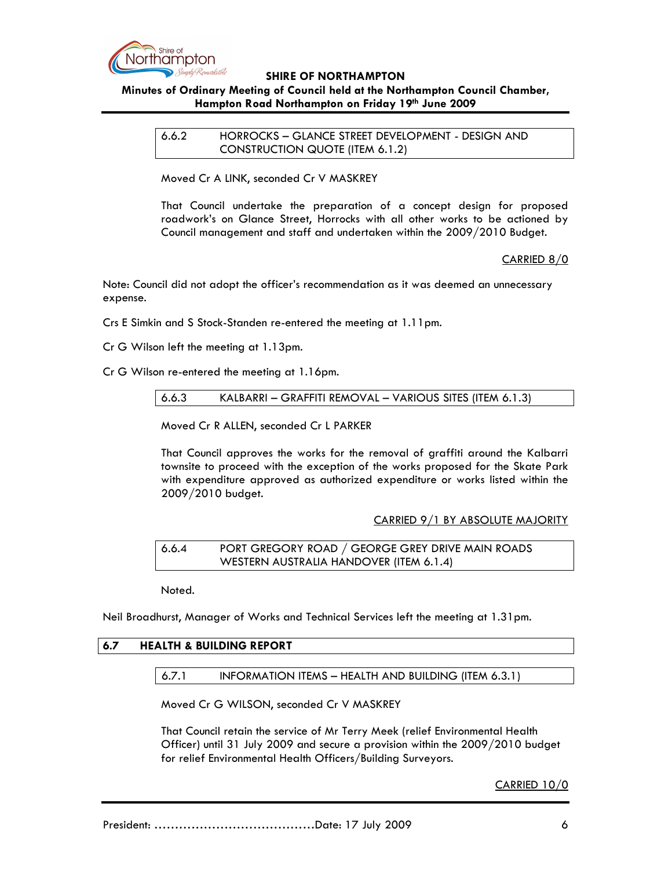

# Minutes of Ordinary Meeting of Council held at the Northampton Council Chamber, Hampton Road Northampton on Friday 19th June 2009

6.6.2 HORROCKS – GLANCE STREET DEVELOPMENT - DESIGN AND CONSTRUCTION QUOTE (ITEM 6.1.2)

Moved Cr A LINK, seconded Cr V MASKREY

That Council undertake the preparation of a concept design for proposed roadwork's on Glance Street, Horrocks with all other works to be actioned by Council management and staff and undertaken within the 2009/2010 Budget.

CARRIED 8/0

Note: Council did not adopt the officer's recommendation as it was deemed an unnecessary expense.

Crs E Simkin and S Stock-Standen re-entered the meeting at 1.11pm.

Cr G Wilson left the meeting at 1.13pm.

Cr G Wilson re-entered the meeting at 1.16pm.

6.6.3 KALBARRI – GRAFFITI REMOVAL – VARIOUS SITES (ITEM 6.1.3)

Moved Cr R ALLEN, seconded Cr L PARKER

That Council approves the works for the removal of graffiti around the Kalbarri townsite to proceed with the exception of the works proposed for the Skate Park with expenditure approved as authorized expenditure or works listed within the 2009/2010 budget.

### CARRIED 9/1 BY ABSOLUTE MAJORITY

6.6.4 PORT GREGORY ROAD / GEORGE GREY DRIVE MAIN ROADS WESTERN AUSTRALIA HANDOVER (ITEM 6.1.4)

Noted.

Neil Broadhurst, Manager of Works and Technical Services left the meeting at 1.31pm.

# 6.7 HEALTH & BUILDING REPORT

6.7.1 INFORMATION ITEMS – HEALTH AND BUILDING (ITEM 6.3.1)

Moved Cr G WILSON, seconded Cr V MASKREY

That Council retain the service of Mr Terry Meek (relief Environmental Health Officer) until 31 July 2009 and secure a provision within the 2009/2010 budget for relief Environmental Health Officers/Building Surveyors.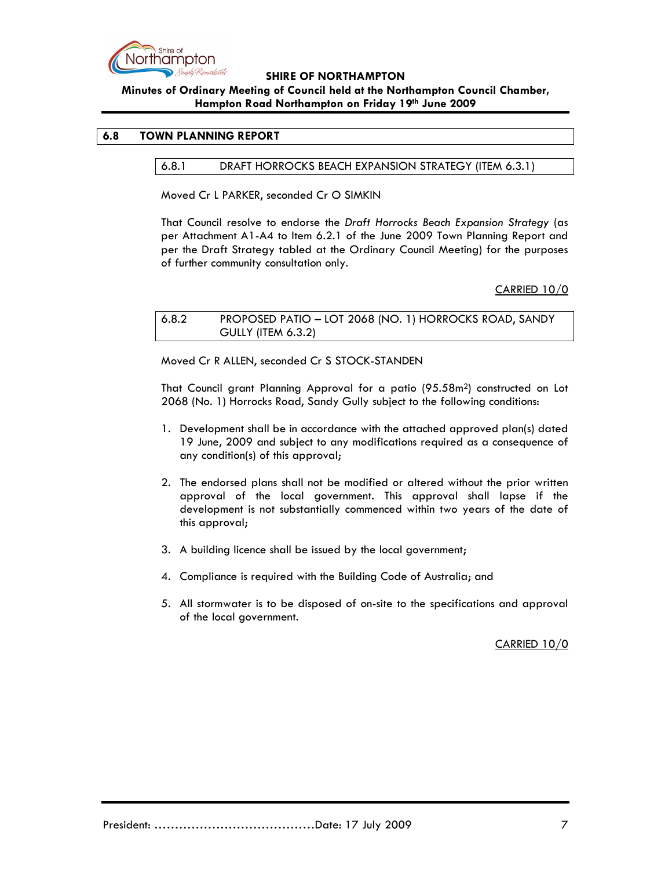

# Minutes of Ordinary Meeting of Council held at the Northampton Council Chamber, Hampton Road Northampton on Friday 19th June 2009

### 6.8 TOWN PLANNING REPORT

### 6.8.1 DRAFT HORROCKS BEACH EXPANSION STRATEGY (ITEM 6.3.1)

Moved Cr L PARKER, seconded Cr O SIMKIN

That Council resolve to endorse the Draft Horrocks Beach Expansion Strategy (as per Attachment A1-A4 to Item 6.2.1 of the June 2009 Town Planning Report and per the Draft Strategy tabled at the Ordinary Council Meeting) for the purposes of further community consultation only.

### CARRIED 10/0

## 6.8.2 PROPOSED PATIO – LOT 2068 (NO. 1) HORROCKS ROAD, SANDY GULLY (ITEM 6.3.2)

Moved Cr R ALLEN, seconded Cr S STOCK-STANDEN

That Council grant Planning Approval for a patio (95.58m2) constructed on Lot 2068 (No. 1) Horrocks Road, Sandy Gully subject to the following conditions:

- 1. Development shall be in accordance with the attached approved plan(s) dated 19 June, 2009 and subject to any modifications required as a consequence of any condition(s) of this approval;
- 2. The endorsed plans shall not be modified or altered without the prior written approval of the local government. This approval shall lapse if the development is not substantially commenced within two years of the date of this approval;
- 3. A building licence shall be issued by the local government;
- 4. Compliance is required with the Building Code of Australia; and
- 5. All stormwater is to be disposed of on-site to the specifications and approval of the local government.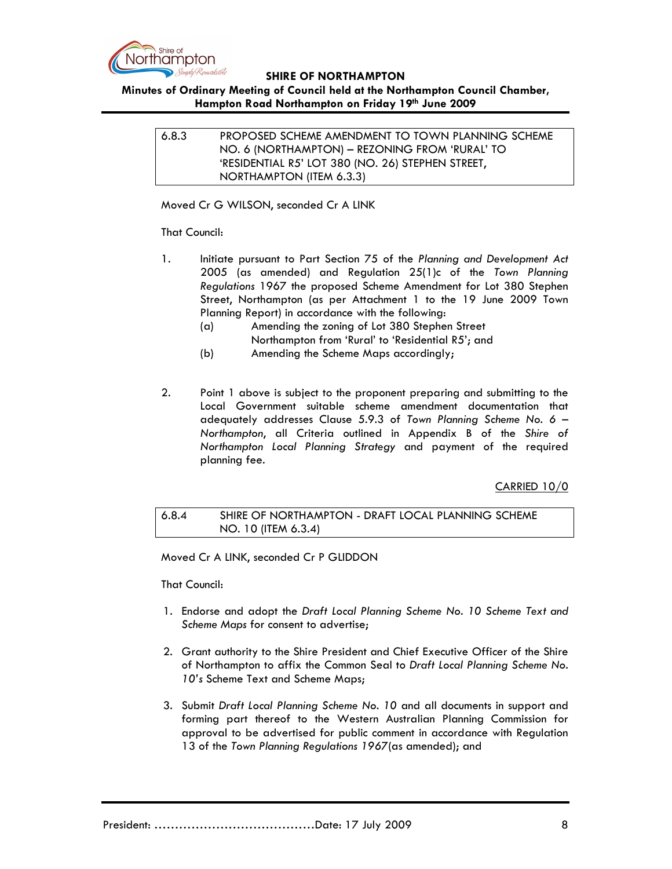

# Minutes of Ordinary Meeting of Council held at the Northampton Council Chamber, Hampton Road Northampton on Friday 19th June 2009

6.8.3 PROPOSED SCHEME AMENDMENT TO TOWN PLANNING SCHEME NO. 6 (NORTHAMPTON) – REZONING FROM 'RURAL' TO 'RESIDENTIAL R5' LOT 380 (NO. 26) STEPHEN STREET, NORTHAMPTON (ITEM 6.3.3)

Moved Cr G WILSON, seconded Cr A LINK

## That Council:

- 1. Initiate pursuant to Part Section 75 of the Planning and Development Act 2005 (as amended) and Regulation 25(1)c of the Town Planning Regulations 1967 the proposed Scheme Amendment for Lot 380 Stephen Street, Northampton (as per Attachment 1 to the 19 June 2009 Town Planning Report) in accordance with the following:
	- (a) Amending the zoning of Lot 380 Stephen Street Northampton from 'Rural' to 'Residential R5'; and
	- (b) Amending the Scheme Maps accordingly;
- 2. Point 1 above is subject to the proponent preparing and submitting to the Local Government suitable scheme amendment documentation that adequately addresses Clause 5.9.3 of Town Planning Scheme No. 6 – Northampton, all Criteria outlined in Appendix B of the Shire of Northampton Local Planning Strategy and payment of the required planning fee.

## CARRIED 10/0

## 6.8.4 SHIRE OF NORTHAMPTON - DRAFT LOCAL PLANNING SCHEME NO. 10 (ITEM 6.3.4)

Moved Cr A LINK, seconded Cr P GLIDDON

That Council:

- 1. Endorse and adopt the Draft Local Planning Scheme No. 10 Scheme Text and Scheme Maps for consent to advertise;
- 2. Grant authority to the Shire President and Chief Executive Officer of the Shire of Northampton to affix the Common Seal to Draft Local Planning Scheme No. 10's Scheme Text and Scheme Maps;
- 3. Submit Draft Local Planning Scheme No. 10 and all documents in support and forming part thereof to the Western Australian Planning Commission for approval to be advertised for public comment in accordance with Regulation 13 of the Town Planning Regulations 1967(as amended); and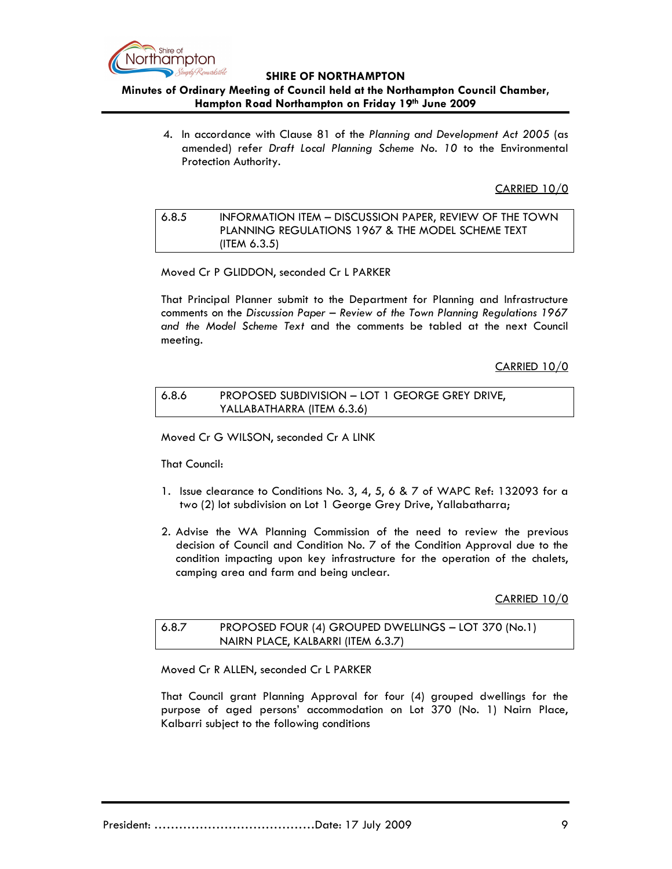

## Minutes of Ordinary Meeting of Council held at the Northampton Council Chamber, Hampton Road Northampton on Friday 19th June 2009

4. In accordance with Clause 81 of the Planning and Development Act 2005 (as amended) refer Draft Local Planning Scheme No. 10 to the Environmental Protection Authority.

CARRIED 10/0

## 6.8.5 INFORMATION ITEM – DISCUSSION PAPER, REVIEW OF THE TOWN PLANNING REGULATIONS 1967 & THE MODEL SCHEME TEXT (ITEM 6.3.5)

Moved Cr P GLIDDON, seconded Cr L PARKER

That Principal Planner submit to the Department for Planning and Infrastructure comments on the Discussion Paper – Review of the Town Planning Regulations 1967 and the Model Scheme Text and the comments be tabled at the next Council meeting.

CARRIED 10/0

## 6.8.6 PROPOSED SUBDIVISION – LOT 1 GEORGE GREY DRIVE, YALLABATHARRA (ITEM 6.3.6)

Moved Cr G WILSON, seconded Cr A LINK

That Council:

- 1. Issue clearance to Conditions No. 3, 4, 5, 6 & 7 of WAPC Ref: 132093 for a two (2) lot subdivision on Lot 1 George Grey Drive, Yallabatharra;
- 2. Advise the WA Planning Commission of the need to review the previous decision of Council and Condition No. 7 of the Condition Approval due to the condition impacting upon key infrastructure for the operation of the chalets, camping area and farm and being unclear.

CARRIED 10/0

## 6.8.7 PROPOSED FOUR (4) GROUPED DWELLINGS – LOT 370 (No.1) NAIRN PLACE, KALBARRI (ITEM 6.3.7)

Moved Cr R ALLEN, seconded Cr L PARKER

That Council grant Planning Approval for four (4) grouped dwellings for the purpose of aged persons' accommodation on Lot 370 (No. 1) Nairn Place, Kalbarri subject to the following conditions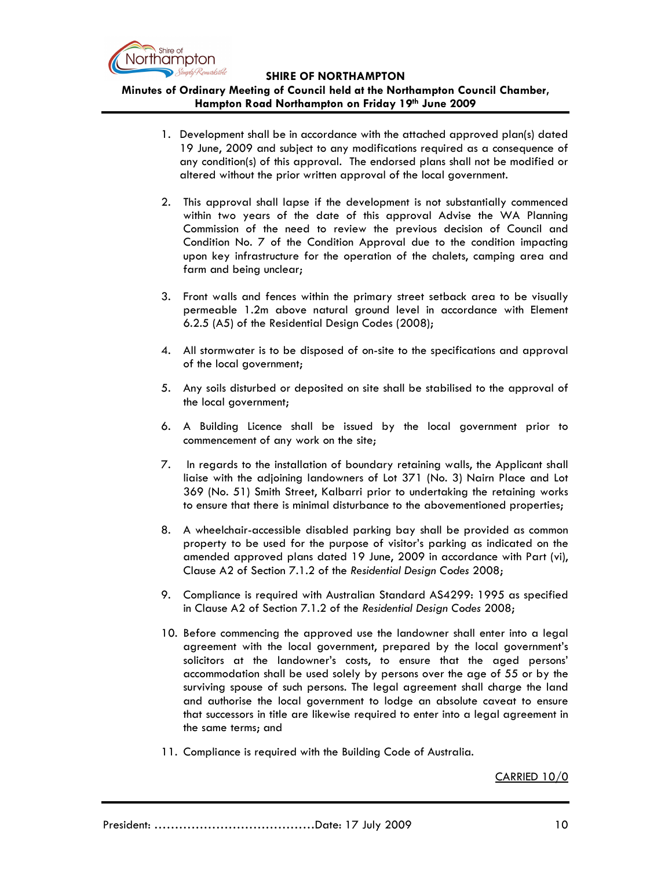

# Minutes of Ordinary Meeting of Council held at the Northampton Council Chamber, Hampton Road Northampton on Friday 19th June 2009

- 1. Development shall be in accordance with the attached approved plan(s) dated 19 June, 2009 and subject to any modifications required as a consequence of any condition(s) of this approval. The endorsed plans shall not be modified or altered without the prior written approval of the local government.
- 2. This approval shall lapse if the development is not substantially commenced within two years of the date of this approval Advise the WA Planning Commission of the need to review the previous decision of Council and Condition No. 7 of the Condition Approval due to the condition impacting upon key infrastructure for the operation of the chalets, camping area and farm and being unclear;
- 3. Front walls and fences within the primary street setback area to be visually permeable 1.2m above natural ground level in accordance with Element 6.2.5 (A5) of the Residential Design Codes (2008);
- 4. All stormwater is to be disposed of on-site to the specifications and approval of the local government;
- 5. Any soils disturbed or deposited on site shall be stabilised to the approval of the local government;
- 6. A Building Licence shall be issued by the local government prior to commencement of any work on the site;
- 7. In regards to the installation of boundary retaining walls, the Applicant shall liaise with the adjoining landowners of Lot 371 (No. 3) Nairn Place and Lot 369 (No. 51) Smith Street, Kalbarri prior to undertaking the retaining works to ensure that there is minimal disturbance to the abovementioned properties;
- 8. A wheelchair-accessible disabled parking bay shall be provided as common property to be used for the purpose of visitor's parking as indicated on the amended approved plans dated 19 June, 2009 in accordance with Part (vi), Clause A2 of Section 7.1.2 of the Residential Design Codes 2008;
- 9. Compliance is required with Australian Standard AS4299: 1995 as specified in Clause A2 of Section 7.1.2 of the Residential Design Codes 2008;
- 10. Before commencing the approved use the landowner shall enter into a legal agreement with the local government, prepared by the local government's solicitors at the landowner's costs, to ensure that the aged persons' accommodation shall be used solely by persons over the age of 55 or by the surviving spouse of such persons. The legal agreement shall charge the land and authorise the local government to lodge an absolute caveat to ensure that successors in title are likewise required to enter into a legal agreement in the same terms; and
- 11. Compliance is required with the Building Code of Australia.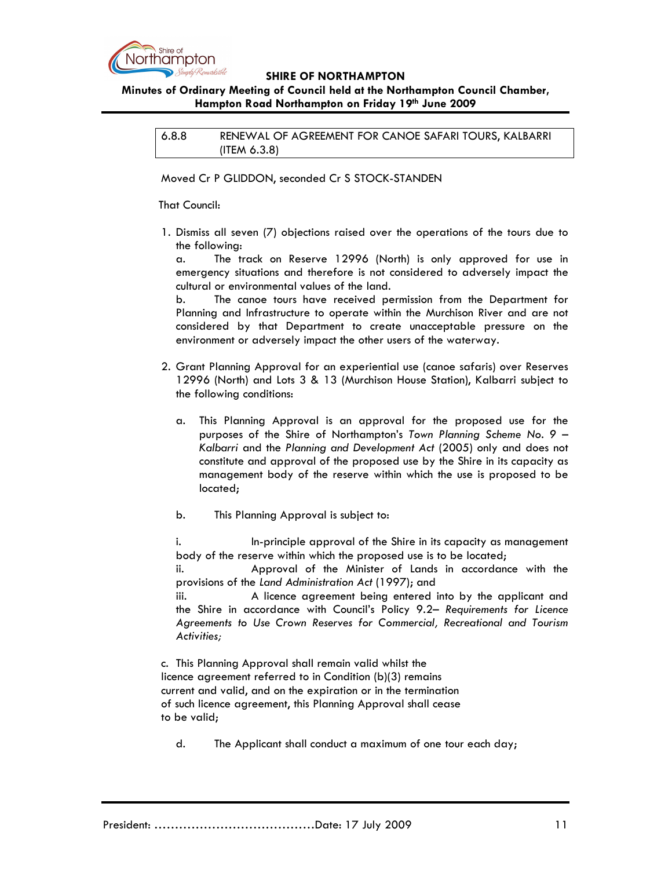

## Minutes of Ordinary Meeting of Council held at the Northampton Council Chamber, Hampton Road Northampton on Friday 19th June 2009

6.8.8 RENEWAL OF AGREEMENT FOR CANOE SAFARI TOURS, KALBARRI (ITEM 6.3.8)

Moved Cr P GLIDDON, seconded Cr S STOCK-STANDEN

That Council:

1. Dismiss all seven (7) objections raised over the operations of the tours due to the following:

 a. The track on Reserve 12996 (North) is only approved for use in emergency situations and therefore is not considered to adversely impact the cultural or environmental values of the land.

 b. The canoe tours have received permission from the Department for Planning and Infrastructure to operate within the Murchison River and are not considered by that Department to create unacceptable pressure on the environment or adversely impact the other users of the waterway.

- 2. Grant Planning Approval for an experiential use (canoe safaris) over Reserves 12996 (North) and Lots 3 & 13 (Murchison House Station), Kalbarri subject to the following conditions:
	- a. This Planning Approval is an approval for the proposed use for the purposes of the Shire of Northampton's Town Planning Scheme No. 9 – Kalbarri and the Planning and Development Act (2005) only and does not constitute and approval of the proposed use by the Shire in its capacity as management body of the reserve within which the use is proposed to be located;

b. This Planning Approval is subject to:

i. In-principle approval of the Shire in its capacity as management body of the reserve within which the proposed use is to be located;

 ii. Approval of the Minister of Lands in accordance with the provisions of the Land Administration Act (1997); and

 iii. A licence agreement being entered into by the applicant and the Shire in accordance with Council's Policy 9.2– Requirements for Licence Agreements to Use Crown Reserves for Commercial, Recreational and Tourism Activities;

c. This Planning Approval shall remain valid whilst the licence agreement referred to in Condition (b)(3) remains current and valid, and on the expiration or in the termination of such licence agreement, this Planning Approval shall cease to be valid;

d. The Applicant shall conduct a maximum of one tour each day;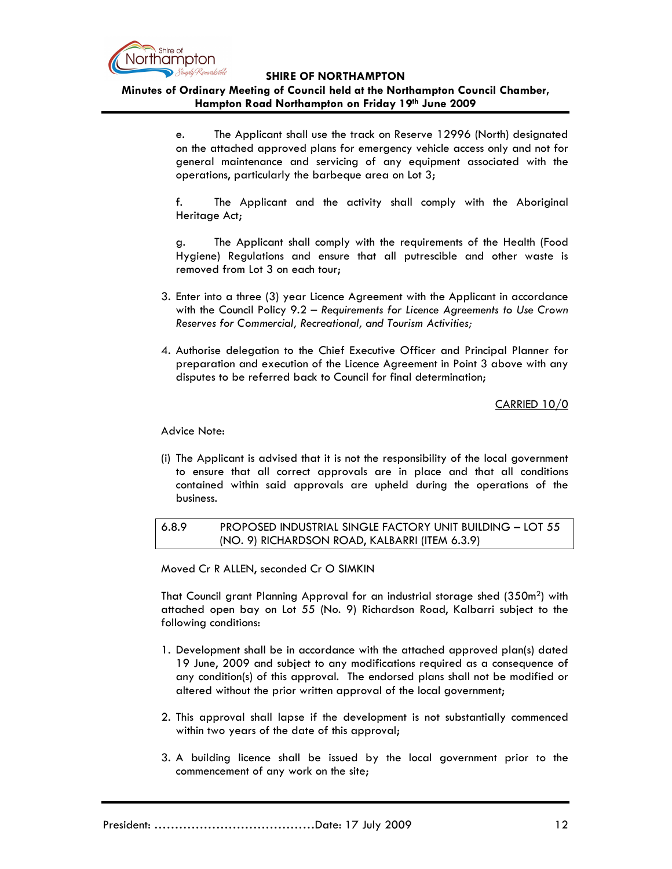

## Minutes of Ordinary Meeting of Council held at the Northampton Council Chamber, Hampton Road Northampton on Friday 19th June 2009

 e. The Applicant shall use the track on Reserve 12996 (North) designated on the attached approved plans for emergency vehicle access only and not for general maintenance and servicing of any equipment associated with the operations, particularly the barbeque area on Lot 3;

 f. The Applicant and the activity shall comply with the Aboriginal Heritage Act;

 g. The Applicant shall comply with the requirements of the Health (Food Hygiene) Regulations and ensure that all putrescible and other waste is removed from Lot 3 on each tour;

- 3. Enter into a three (3) year Licence Agreement with the Applicant in accordance with the Council Policy 9.2 – Requirements for Licence Agreements to Use Crown Reserves for Commercial, Recreational, and Tourism Activities;
- 4. Authorise delegation to the Chief Executive Officer and Principal Planner for preparation and execution of the Licence Agreement in Point 3 above with any disputes to be referred back to Council for final determination;

CARRIED 10/0

Advice Note:

(i) The Applicant is advised that it is not the responsibility of the local government to ensure that all correct approvals are in place and that all conditions contained within said approvals are upheld during the operations of the business.

6.8.9 PROPOSED INDUSTRIAL SINGLE FACTORY UNIT BUILDING – LOT 55 (NO. 9) RICHARDSON ROAD, KALBARRI (ITEM 6.3.9)

Moved Cr R ALLEN, seconded Cr O SIMKIN

That Council grant Planning Approval for an industrial storage shed (350m2) with attached open bay on Lot 55 (No. 9) Richardson Road, Kalbarri subject to the following conditions:

- 1. Development shall be in accordance with the attached approved plan(s) dated 19 June, 2009 and subject to any modifications required as a consequence of any condition(s) of this approval. The endorsed plans shall not be modified or altered without the prior written approval of the local government;
- 2. This approval shall lapse if the development is not substantially commenced within two years of the date of this approval;
- 3. A building licence shall be issued by the local government prior to the commencement of any work on the site;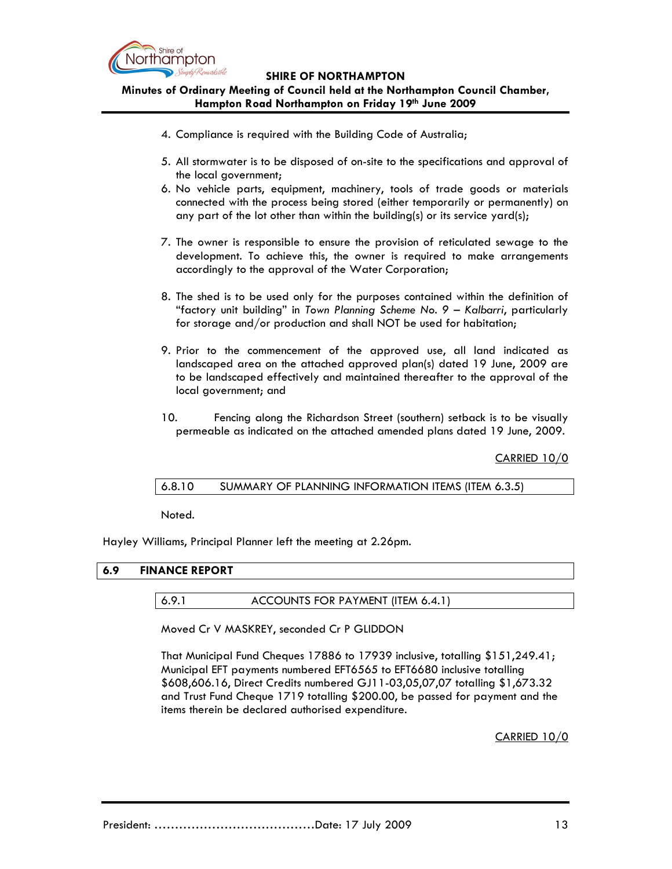

Minutes of Ordinary Meeting of Council held at the Northampton Council Chamber, Hampton Road Northampton on Friday 19th June 2009

- 4. Compliance is required with the Building Code of Australia;
- 5. All stormwater is to be disposed of on-site to the specifications and approval of the local government;
- 6. No vehicle parts, equipment, machinery, tools of trade goods or materials connected with the process being stored (either temporarily or permanently) on any part of the lot other than within the building(s) or its service yard(s);
- 7. The owner is responsible to ensure the provision of reticulated sewage to the development. To achieve this, the owner is required to make arrangements accordingly to the approval of the Water Corporation;
- 8. The shed is to be used only for the purposes contained within the definition of "factory unit building" in Town Planning Scheme No. 9 – Kalbarri, particularly for storage and/or production and shall NOT be used for habitation;
- 9. Prior to the commencement of the approved use, all land indicated as landscaped area on the attached approved plan(s) dated 19 June, 2009 are to be landscaped effectively and maintained thereafter to the approval of the local government; and
- 10. Fencing along the Richardson Street (southern) setback is to be visually permeable as indicated on the attached amended plans dated 19 June, 2009.

CARRIED 10/0

## 6.8.10 SUMMARY OF PLANNING INFORMATION ITEMS (ITEM 6.3.5)

Noted.

Hayley Williams, Principal Planner left the meeting at 2.26pm.

## 6.9 FINANCE REPORT

## 6.9.1 ACCOUNTS FOR PAYMENT (ITEM 6.4.1)

Moved Cr V MASKREY, seconded Cr P GLIDDON

That Municipal Fund Cheques 17886 to 17939 inclusive, totalling \$151,249.41; Municipal EFT payments numbered EFT6565 to EFT6680 inclusive totalling \$608,606.16, Direct Credits numbered GJ11-03,05,07,07 totalling \$1,673.32 and Trust Fund Cheque 1719 totalling \$200.00, be passed for payment and the items therein be declared authorised expenditure.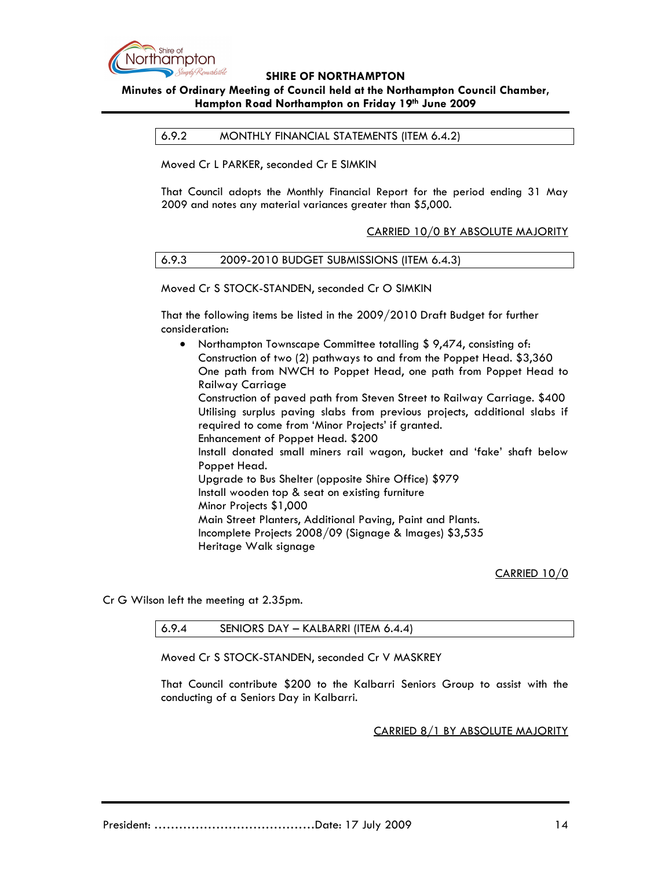

## Minutes of Ordinary Meeting of Council held at the Northampton Council Chamber, Hampton Road Northampton on Friday 19th June 2009

6.9.2 MONTHLY FINANCIAL STATEMENTS (ITEM 6.4.2)

Moved Cr L PARKER, seconded Cr E SIMKIN

That Council adopts the Monthly Financial Report for the period ending 31 May 2009 and notes any material variances greater than \$5,000.

### CARRIED 10/0 BY ABSOLUTE MAJORITY

### 6.9.3 2009-2010 BUDGET SUBMISSIONS (ITEM 6.4.3)

Moved Cr S STOCK-STANDEN, seconded Cr O SIMKIN

That the following items be listed in the 2009/2010 Draft Budget for further consideration:

• Northampton Townscape Committee totalling \$9,474, consisting of: Construction of two (2) pathways to and from the Poppet Head. \$3,360 One path from NWCH to Poppet Head, one path from Poppet Head to Railway Carriage Construction of paved path from Steven Street to Railway Carriage. \$400 Utilising surplus paving slabs from previous projects, additional slabs if required to come from 'Minor Projects' if granted. Enhancement of Poppet Head. \$200 Install donated small miners rail wagon, bucket and 'fake' shaft below Poppet Head. Upgrade to Bus Shelter (opposite Shire Office) \$979 Install wooden top & seat on existing furniture Minor Projects \$1,000 Main Street Planters, Additional Paving, Paint and Plants. Incomplete Projects 2008/09 (Signage & Images) \$3,535 Heritage Walk signage

CARRIED 10/0

Cr G Wilson left the meeting at 2.35pm.

6.9.4 SENIORS DAY – KALBARRI (ITEM 6.4.4)

Moved Cr S STOCK-STANDEN, seconded Cr V MASKREY

That Council contribute \$200 to the Kalbarri Seniors Group to assist with the conducting of a Seniors Day in Kalbarri.

CARRIED 8/1 BY ABSOLUTE MAJORITY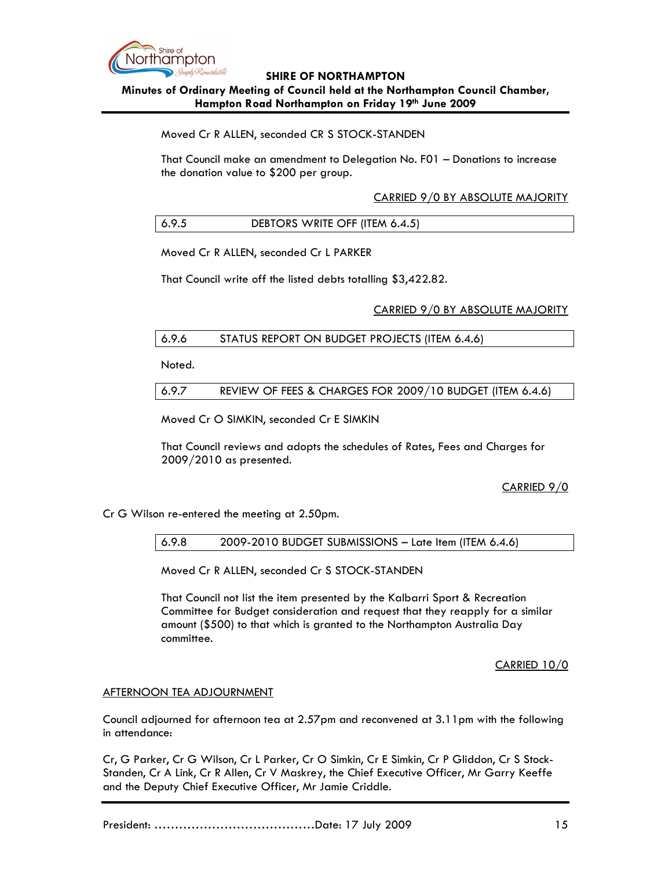

## Minutes of Ordinary Meeting of Council held at the Northampton Council Chamber, Hampton Road Northampton on Friday 19th June 2009

Moved Cr R ALLEN, seconded CR S STOCK-STANDEN

That Council make an amendment to Delegation No. F01 – Donations to increase the donation value to \$200 per group.

CARRIED 9/0 BY ABSOLUTE MAJORITY

# 6.9.5 DEBTORS WRITE OFF (ITEM 6.4.5)

Moved Cr R ALLEN, seconded Cr L PARKER

That Council write off the listed debts totalling \$3,422.82.

### CARRIED 9/0 BY ABSOLUTE MAJORITY

| 6.9.6 | STATUS REPORT ON BUDGET PROJECTS (ITEM 6.4.6) |
|-------|-----------------------------------------------|
|-------|-----------------------------------------------|

Noted.

| REVIEW OF FEES & CHARGES FOR 2009/10 BUDGET (ITEM 6.4.6)<br>6.9.7 |
|-------------------------------------------------------------------|
|-------------------------------------------------------------------|

Moved Cr O SIMKIN, seconded Cr E SIMKIN

That Council reviews and adopts the schedules of Rates, Fees and Charges for 2009/2010 as presented.

## CARRIED 9/0

Cr G Wilson re-entered the meeting at 2.50pm.

6.9.8 2009-2010 BUDGET SUBMISSIONS – Late Item (ITEM 6.4.6)

Moved Cr R ALLEN, seconded Cr S STOCK-STANDEN

That Council not list the item presented by the Kalbarri Sport & Recreation Committee for Budget consideration and request that they reapply for a similar amount (\$500) to that which is granted to the Northampton Australia Day committee.

### CARRIED 10/0

### AFTERNOON TEA ADJOURNMENT

Council adjourned for afternoon tea at 2.57pm and reconvened at 3.11pm with the following in attendance:

Cr, G Parker, Cr G Wilson, Cr L Parker, Cr O Simkin, Cr E Simkin, Cr P Gliddon, Cr S Stock-Standen, Cr A Link, Cr R Allen, Cr V Maskrey, the Chief Executive Officer, Mr Garry Keeffe and the Deputy Chief Executive Officer, Mr Jamie Criddle.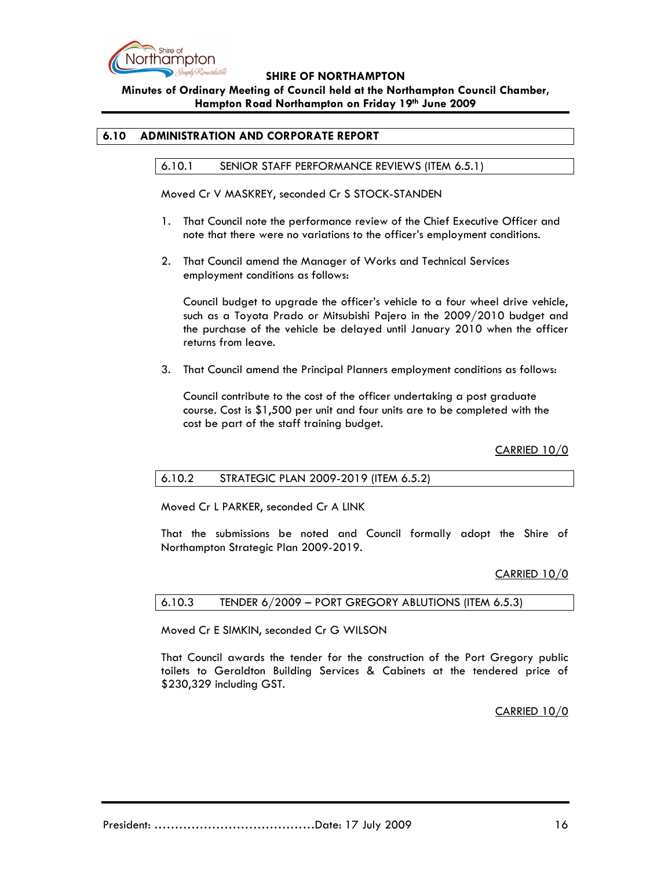

Minutes of Ordinary Meeting of Council held at the Northampton Council Chamber, Hampton Road Northampton on Friday 19th June 2009

### 6.10 ADMINISTRATION AND CORPORATE REPORT

6.10.1 SENIOR STAFF PERFORMANCE REVIEWS (ITEM 6.5.1)

Moved Cr V MASKREY, seconded Cr S STOCK-STANDEN

- 1. That Council note the performance review of the Chief Executive Officer and note that there were no variations to the officer's employment conditions.
- 2. That Council amend the Manager of Works and Technical Services employment conditions as follows:

Council budget to upgrade the officer's vehicle to a four wheel drive vehicle, such as a Toyota Prado or Mitsubishi Pajero in the 2009/2010 budget and the purchase of the vehicle be delayed until January 2010 when the officer returns from leave.

3. That Council amend the Principal Planners employment conditions as follows:

Council contribute to the cost of the officer undertaking a post graduate course. Cost is \$1,500 per unit and four units are to be completed with the cost be part of the staff training budget.

CARRIED 10/0

### 6.10.2 STRATEGIC PLAN 2009-2019 (ITEM 6.5.2)

Moved Cr L PARKER, seconded Cr A LINK

That the submissions be noted and Council formally adopt the Shire of Northampton Strategic Plan 2009-2019.

#### CARRIED 10/0

| 6.10.3 |  | TENDER 6/2009 - PORT GREGORY ABLUTIONS (ITEM 6.5.3) |  |  |  |
|--------|--|-----------------------------------------------------|--|--|--|
|--------|--|-----------------------------------------------------|--|--|--|

Moved Cr E SIMKIN, seconded Cr G WILSON

That Council awards the tender for the construction of the Port Gregory public toilets to Geraldton Building Services & Cabinets at the tendered price of \$230,329 including GST.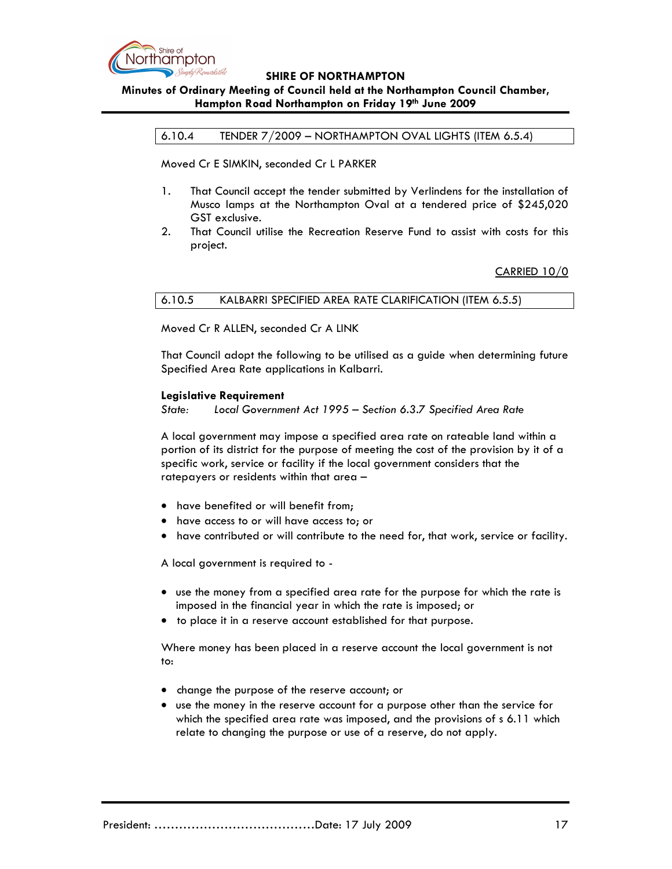

## Minutes of Ordinary Meeting of Council held at the Northampton Council Chamber, Hampton Road Northampton on Friday 19th June 2009

6.10.4 TENDER 7/2009 – NORTHAMPTON OVAL LIGHTS (ITEM 6.5.4)

Moved Cr E SIMKIN, seconded Cr L PARKER

- 1. That Council accept the tender submitted by Verlindens for the installation of Musco lamps at the Northampton Oval at a tendered price of \$245,020 GST exclusive.
- 2. That Council utilise the Recreation Reserve Fund to assist with costs for this project.

CARRIED 10/0

6.10.5 KALBARRI SPECIFIED AREA RATE CLARIFICATION (ITEM 6.5.5)

Moved Cr R ALLEN, seconded Cr A LINK

That Council adopt the following to be utilised as a guide when determining future Specified Area Rate applications in Kalbarri.

#### Legislative Requirement

State: Local Government Act 1995 – Section 6.3.7 Specified Area Rate

A local government may impose a specified area rate on rateable land within a portion of its district for the purpose of meeting the cost of the provision by it of a specific work, service or facility if the local government considers that the ratepayers or residents within that area –

- have benefited or will benefit from;
- have access to or will have access to; or
- have contributed or will contribute to the need for, that work, service or facility.

A local government is required to -

- use the money from a specified area rate for the purpose for which the rate is imposed in the financial year in which the rate is imposed; or
- to place it in a reserve account established for that purpose.

Where money has been placed in a reserve account the local government is not to:

- change the purpose of the reserve account; or
- use the money in the reserve account for a purpose other than the service for which the specified area rate was imposed, and the provisions of s 6.11 which relate to changing the purpose or use of a reserve, do not apply.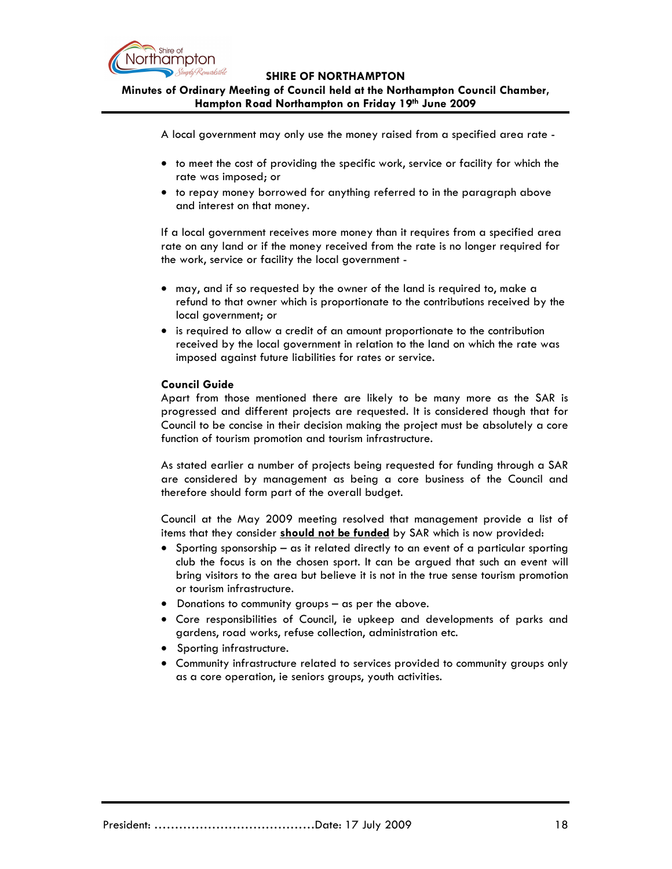

Minutes of Ordinary Meeting of Council held at the Northampton Council Chamber, Hampton Road Northampton on Friday 19th June 2009

A local government may only use the money raised from a specified area rate -

- to meet the cost of providing the specific work, service or facility for which the rate was imposed; or
- to repay money borrowed for anything referred to in the paragraph above and interest on that money.

If a local government receives more money than it requires from a specified area rate on any land or if the money received from the rate is no longer required for the work, service or facility the local government -

- may, and if so requested by the owner of the land is required to, make a refund to that owner which is proportionate to the contributions received by the local government; or
- is required to allow a credit of an amount proportionate to the contribution received by the local government in relation to the land on which the rate was imposed against future liabilities for rates or service.

### Council Guide

Apart from those mentioned there are likely to be many more as the SAR is progressed and different projects are requested. It is considered though that for Council to be concise in their decision making the project must be absolutely a core function of tourism promotion and tourism infrastructure.

As stated earlier a number of projects being requested for funding through a SAR are considered by management as being a core business of the Council and therefore should form part of the overall budget.

Council at the May 2009 meeting resolved that management provide a list of items that they consider should not be funded by SAR which is now provided:

- Sporting sponsorship as it related directly to an event of a particular sporting club the focus is on the chosen sport. It can be argued that such an event will bring visitors to the area but believe it is not in the true sense tourism promotion or tourism infrastructure.
- Donations to community groups as per the above.
- Core responsibilities of Council, ie upkeep and developments of parks and gardens, road works, refuse collection, administration etc.
- Sporting infrastructure.
- Community infrastructure related to services provided to community groups only as a core operation, ie seniors groups, youth activities.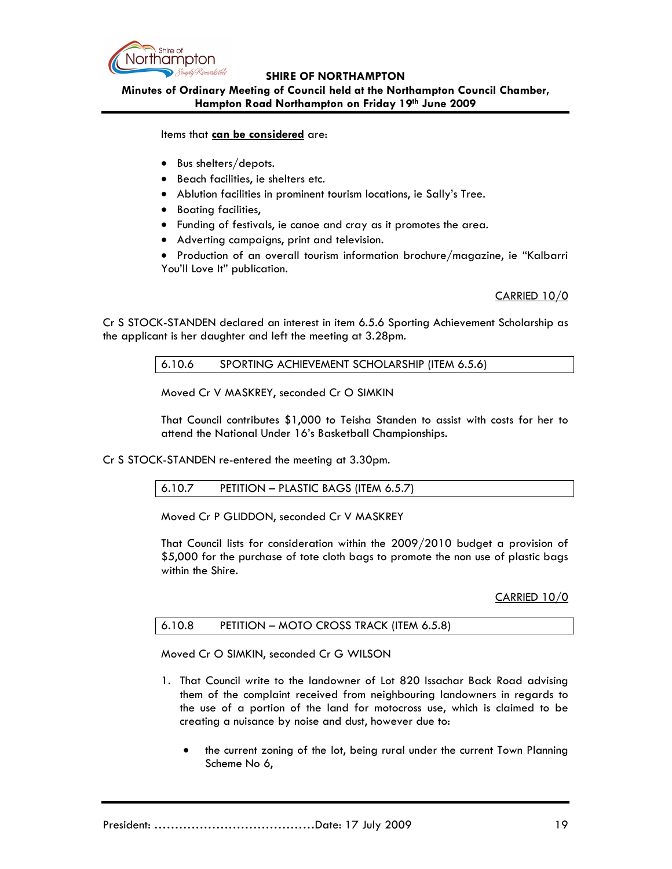

Minutes of Ordinary Meeting of Council held at the Northampton Council Chamber, Hampton Road Northampton on Friday 19th June 2009

Items that can be considered are:

- Bus shelters/depots.
- Beach facilities, ie shelters etc.
- Ablution facilities in prominent tourism locations, ie Sally's Tree.
- Boating facilities,
- Funding of festivals, ie canoe and cray as it promotes the area.
- Adverting campaigns, print and television.

• Production of an overall tourism information brochure/magazine, ie "Kalbarri You'll Love It" publication.

## CARRIED 10/0

Cr S STOCK-STANDEN declared an interest in item 6.5.6 Sporting Achievement Scholarship as the applicant is her daughter and left the meeting at 3.28pm.

6.10.6 SPORTING ACHIEVEMENT SCHOLARSHIP (ITEM 6.5.6)

Moved Cr V MASKREY, seconded Cr O SIMKIN

That Council contributes \$1,000 to Teisha Standen to assist with costs for her to attend the National Under 16's Basketball Championships.

Cr S STOCK-STANDEN re-entered the meeting at 3.30pm.

| PETITION - PLASTIC BAGS (ITEM 6.5.7)<br>6.10.7 |  |
|------------------------------------------------|--|
|------------------------------------------------|--|

Moved Cr P GLIDDON, seconded Cr V MASKREY

That Council lists for consideration within the 2009/2010 budget a provision of \$5,000 for the purchase of tote cloth bags to promote the non use of plastic bags within the Shire.

CARRIED 10/0

Moved Cr O SIMKIN, seconded Cr G WILSON

- 1. That Council write to the landowner of Lot 820 Issachar Back Road advising them of the complaint received from neighbouring landowners in regards to the use of a portion of the land for motocross use, which is claimed to be creating a nuisance by noise and dust, however due to:
	- the current zoning of the lot, being rural under the current Town Planning Scheme No 6,

President: …………………………………Date: 17 July 2009 19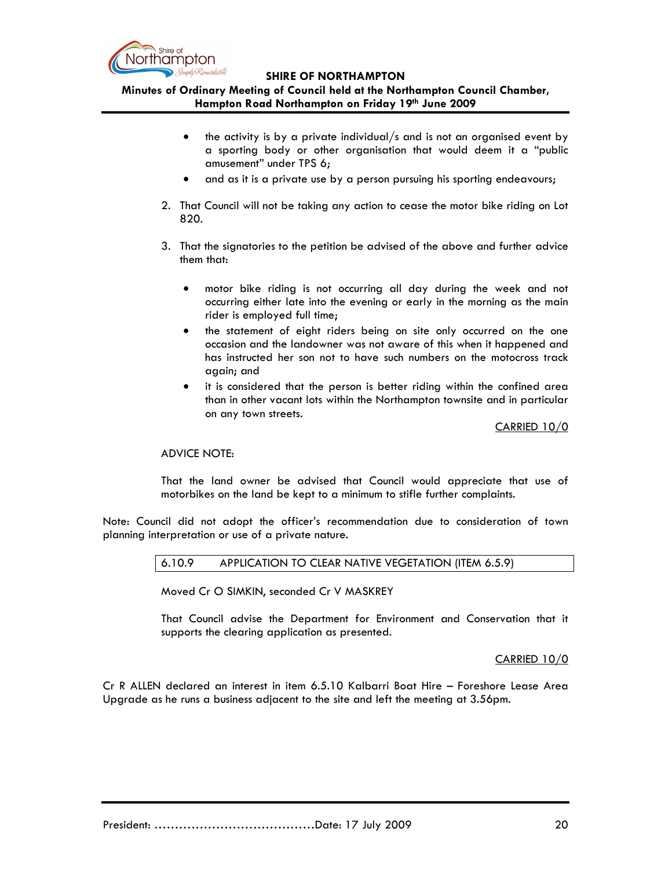

Minutes of Ordinary Meeting of Council held at the Northampton Council Chamber, Hampton Road Northampton on Friday 19th June 2009

- the activity is by a private individual/s and is not an organised event by a sporting body or other organisation that would deem it a "public amusement" under TPS 6;
- and as it is a private use by a person pursuing his sporting endeavours;
- 2. That Council will not be taking any action to cease the motor bike riding on Lot 820.
- 3. That the signatories to the petition be advised of the above and further advice them that:
	- motor bike riding is not occurring all day during the week and not occurring either late into the evening or early in the morning as the main rider is employed full time;
	- the statement of eight riders being on site only occurred on the one occasion and the landowner was not aware of this when it happened and has instructed her son not to have such numbers on the motocross track again; and
	- it is considered that the person is better riding within the confined area than in other vacant lots within the Northampton townsite and in particular on any town streets.

#### CARRIED 10/0

### ADVICE NOTE:

That the land owner be advised that Council would appreciate that use of motorbikes on the land be kept to a minimum to stifle further complaints.

Note: Council did not adopt the officer's recommendation due to consideration of town planning interpretation or use of a private nature.

6.10.9 APPLICATION TO CLEAR NATIVE VEGETATION (ITEM 6.5.9)

Moved Cr O SIMKIN, seconded Cr V MASKREY

That Council advise the Department for Environment and Conservation that it supports the clearing application as presented.

CARRIED 10/0

Cr R ALLEN declared an interest in item 6.5.10 Kalbarri Boat Hire – Foreshore Lease Area Upgrade as he runs a business adjacent to the site and left the meeting at 3.56pm.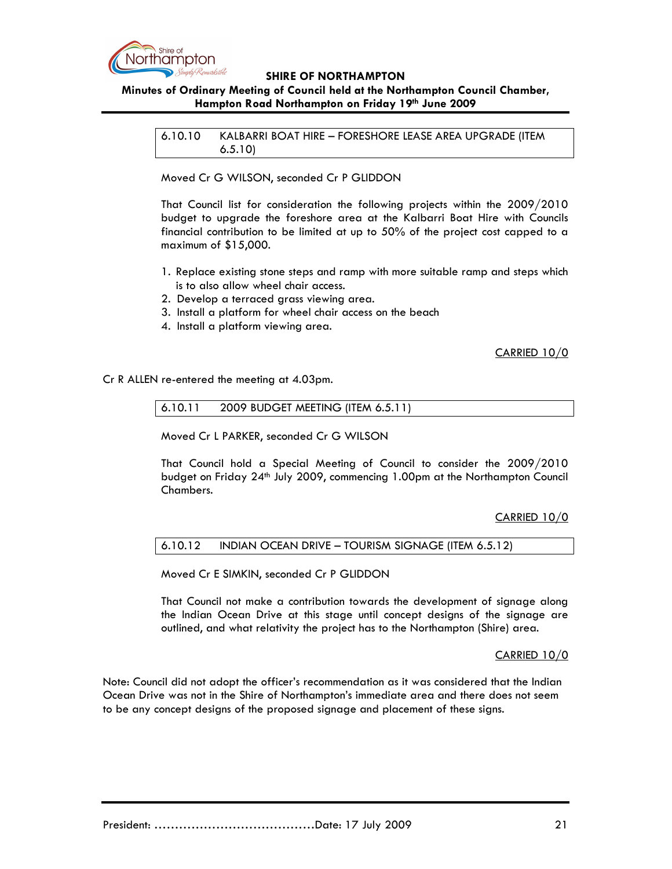

## Minutes of Ordinary Meeting of Council held at the Northampton Council Chamber, Hampton Road Northampton on Friday 19th June 2009

6.10.10 KALBARRI BOAT HIRE – FORESHORE LEASE AREA UPGRADE (ITEM 6.5.10)

Moved Cr G WILSON, seconded Cr P GLIDDON

That Council list for consideration the following projects within the 2009/2010 budget to upgrade the foreshore area at the Kalbarri Boat Hire with Councils financial contribution to be limited at up to 50% of the project cost capped to a maximum of \$15,000.

- 1. Replace existing stone steps and ramp with more suitable ramp and steps which is to also allow wheel chair access.
- 2. Develop a terraced grass viewing area.
- 3. Install a platform for wheel chair access on the beach
- 4. Install a platform viewing area.

### CARRIED 10/0

Cr R ALLEN re-entered the meeting at 4.03pm.

6.10.11 2009 BUDGET MEETING (ITEM 6.5.11)

Moved Cr L PARKER, seconded Cr G WILSON

That Council hold a Special Meeting of Council to consider the 2009/2010 budget on Friday 24<sup>th</sup> July 2009, commencing 1.00pm at the Northampton Council Chambers.

## CARRIED 10/0

### 6.10.12 INDIAN OCEAN DRIVE – TOURISM SIGNAGE (ITEM 6.5.12)

Moved Cr E SIMKIN, seconded Cr P GLIDDON

That Council not make a contribution towards the development of signage along the Indian Ocean Drive at this stage until concept designs of the signage are outlined, and what relativity the project has to the Northampton (Shire) area.

### CARRIED 10/0

Note: Council did not adopt the officer's recommendation as it was considered that the Indian Ocean Drive was not in the Shire of Northampton's immediate area and there does not seem to be any concept designs of the proposed signage and placement of these signs.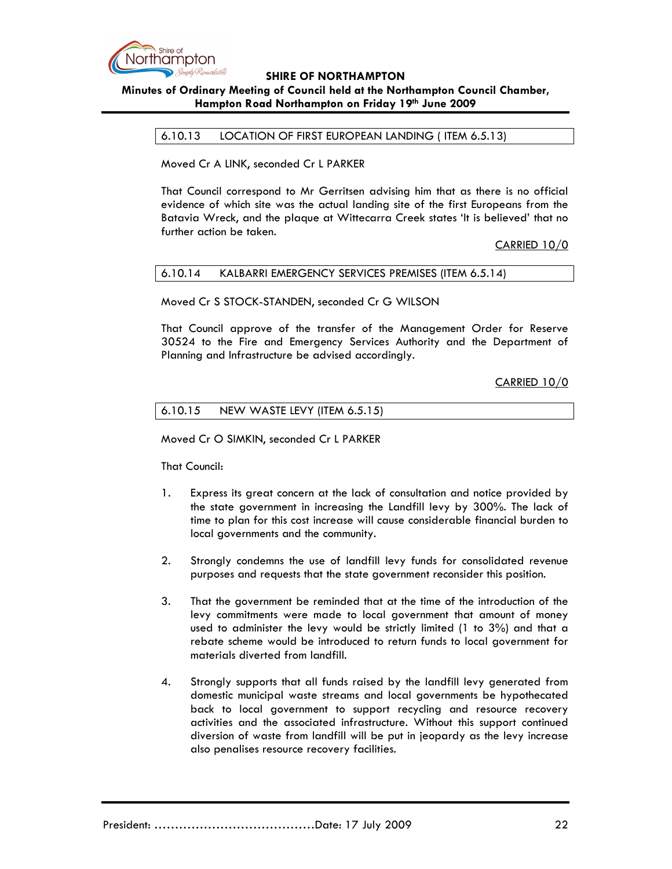

# Minutes of Ordinary Meeting of Council held at the Northampton Council Chamber, Hampton Road Northampton on Friday 19th June 2009

6.10.13 LOCATION OF FIRST EUROPEAN LANDING ( ITEM 6.5.13)

Moved Cr A LINK, seconded Cr L PARKER

That Council correspond to Mr Gerritsen advising him that as there is no official evidence of which site was the actual landing site of the first Europeans from the Batavia Wreck, and the plaque at Wittecarra Creek states 'It is believed' that no further action be taken.

CARRIED 10/0

### 6.10.14 KALBARRI EMERGENCY SERVICES PREMISES (ITEM 6.5.14)

Moved Cr S STOCK-STANDEN, seconded Cr G WILSON

That Council approve of the transfer of the Management Order for Reserve 30524 to the Fire and Emergency Services Authority and the Department of Planning and Infrastructure be advised accordingly.

CARRIED 10/0

### 6.10.15 NEW WASTE LEVY (ITEM 6.5.15)

Moved Cr O SIMKIN, seconded Cr L PARKER

That Council:

- 1. Express its great concern at the lack of consultation and notice provided by the state government in increasing the Landfill levy by 300%. The lack of time to plan for this cost increase will cause considerable financial burden to local governments and the community.
- 2. Strongly condemns the use of landfill levy funds for consolidated revenue purposes and requests that the state government reconsider this position.
- 3. That the government be reminded that at the time of the introduction of the levy commitments were made to local government that amount of money used to administer the levy would be strictly limited (1 to 3%) and that a rebate scheme would be introduced to return funds to local government for materials diverted from landfill.
- 4. Strongly supports that all funds raised by the landfill levy generated from domestic municipal waste streams and local governments be hypothecated back to local government to support recycling and resource recovery activities and the associated infrastructure. Without this support continued diversion of waste from landfill will be put in jeopardy as the levy increase also penalises resource recovery facilities.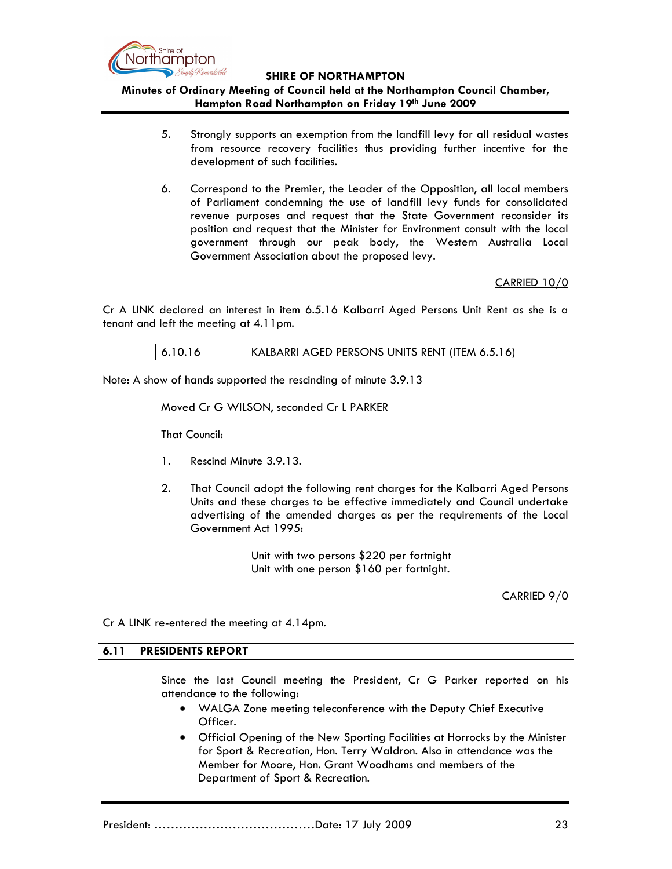

Minutes of Ordinary Meeting of Council held at the Northampton Council Chamber, Hampton Road Northampton on Friday 19th June 2009

- 5. Strongly supports an exemption from the landfill levy for all residual wastes from resource recovery facilities thus providing further incentive for the development of such facilities.
- 6. Correspond to the Premier, the Leader of the Opposition, all local members of Parliament condemning the use of landfill levy funds for consolidated revenue purposes and request that the State Government reconsider its position and request that the Minister for Environment consult with the local government through our peak body, the Western Australia Local Government Association about the proposed levy.

CARRIED 10/0

Cr A LINK declared an interest in item 6.5.16 Kalbarri Aged Persons Unit Rent as she is a tenant and left the meeting at 4.11pm.

### 6.10.16 KALBARRI AGED PERSONS UNITS RENT (ITEM 6.5.16)

Note: A show of hands supported the rescinding of minute 3.9.13

#### Moved Cr G WILSON, seconded Cr L PARKER

That Council:

- 1. Rescind Minute 3.9.13.
- 2. That Council adopt the following rent charges for the Kalbarri Aged Persons Units and these charges to be effective immediately and Council undertake advertising of the amended charges as per the requirements of the Local Government Act 1995:

 Unit with two persons \$220 per fortnight Unit with one person \$160 per fortnight.

CARRIED 9/0

Cr A LINK re-entered the meeting at 4.14pm.

#### 6.11 PRESIDENTS REPORT

Since the last Council meeting the President, Cr G Parker reported on his attendance to the following:

- WALGA Zone meeting teleconference with the Deputy Chief Executive Officer.
- Official Opening of the New Sporting Facilities at Horrocks by the Minister for Sport & Recreation, Hon. Terry Waldron. Also in attendance was the Member for Moore, Hon. Grant Woodhams and members of the Department of Sport & Recreation.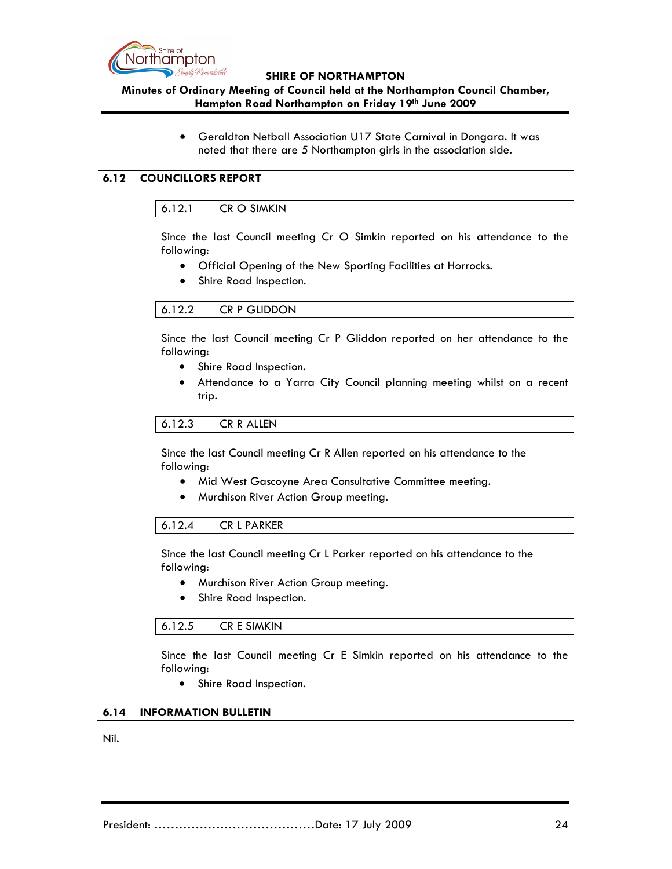

## Minutes of Ordinary Meeting of Council held at the Northampton Council Chamber, Hampton Road Northampton on Friday 19th June 2009

• Geraldton Netball Association U17 State Carnival in Dongara. It was noted that there are 5 Northampton girls in the association side.

## 6.12 COUNCILLORS REPORT

### 6.12.1 CR O SIMKIN

Since the last Council meeting Cr O Simkin reported on his attendance to the following:

- Official Opening of the New Sporting Facilities at Horrocks.
- Shire Road Inspection.

## 6.12.2 CR P GLIDDON

Since the last Council meeting Cr P Gliddon reported on her attendance to the following:

- Shire Road Inspection.
- Attendance to a Yarra City Council planning meeting whilst on a recent trip.

### 6.12.3 CR R ALLEN

Since the last Council meeting Cr R Allen reported on his attendance to the following:

- Mid West Gascoyne Area Consultative Committee meeting.
- Murchison River Action Group meeting.

## 6.12.4 CR L PARKER

Since the last Council meeting Cr L Parker reported on his attendance to the following:

- Murchison River Action Group meeting.
- Shire Road Inspection.

### 6.12.5 CR E SIMKIN

Since the last Council meeting Cr E Simkin reported on his attendance to the following:

• Shire Road Inspection.

### 6.14 INFORMATION BULLETIN

Nil.